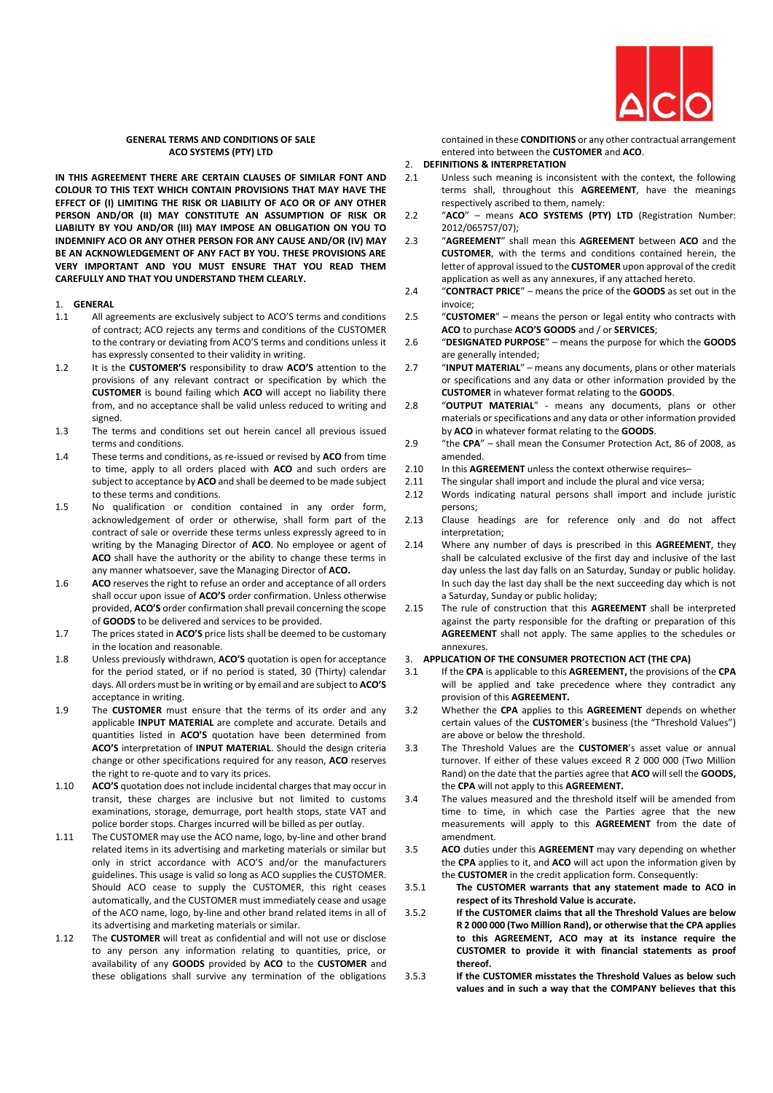

# **GENERAL TERMS AND CONDITIONS OF SALE ACO SYSTEMS (PTY) LTD**

**IN THIS AGREEMENT THERE ARE CERTAIN CLAUSES OF SIMILAR FONT AND COLOUR TO THIS TEXT WHICH CONTAIN PROVISIONS THAT MAY HAVE THE EFFECT OF (I) LIMITING THE RISK OR LIABILITY OF ACO OR OF ANY OTHER PERSON AND/OR (II) MAY CONSTITUTE AN ASSUMPTION OF RISK OR LIABILITY BY YOU AND/OR (III) MAY IMPOSE AN OBLIGATION ON YOU TO INDEMNIFY ACO OR ANY OTHER PERSON FOR ANY CAUSE AND/OR (IV) MAY BE AN ACKNOWLEDGEMENT OF ANY FACT BY YOU. THESE PROVISIONS ARE VERY IMPORTANT AND YOU MUST ENSURE THAT YOU READ THEM CAREFULLY AND THAT YOU UNDERSTAND THEM CLEARLY.**

# 1. **GENERAL**

- 1.1 All agreements are exclusively subject to ACO'S terms and conditions of contract; ACO rejects any terms and conditions of the CUSTOMER to the contrary or deviating from ACO'S terms and conditions unless it has expressly consented to their validity in writing.
- 1.2 It is the **CUSTOMER'S** responsibility to draw **ACO'S** attention to the provisions of any relevant contract or specification by which the **CUSTOMER** is bound failing which **ACO** will accept no liability there from, and no acceptance shall be valid unless reduced to writing and signed.
- 1.3 The terms and conditions set out herein cancel all previous issued terms and conditions.
- 1.4 These terms and conditions, as re-issued or revised by **ACO** from time to time, apply to all orders placed with **ACO** and such orders are subject to acceptance by **ACO** and shall be deemed to be made subject to these terms and conditions.
- 1.5 No qualification or condition contained in any order form, acknowledgement of order or otherwise, shall form part of the contract of sale or override these terms unless expressly agreed to in writing by the Managing Director of **ACO**. No employee or agent of **ACO** shall have the authority or the ability to change these terms in any manner whatsoever, save the Managing Director of **ACO.**
- 1.6 **ACO** reserves the right to refuse an order and acceptance of all orders shall occur upon issue of **ACO'S** order confirmation. Unless otherwise provided, **ACO'S** order confirmation shall prevail concerning the scope of **GOODS** to be delivered and services to be provided.
- 1.7 The prices stated in **ACO'S** price lists shall be deemed to be customary in the location and reasonable.
- 1.8 Unless previously withdrawn, **ACO'S** quotation is open for acceptance for the period stated, or if no period is stated, 30 (Thirty) calendar days. All orders must be in writing or by email and are subject to **ACO'S**  acceptance in writing.
- 1.9 The **CUSTOMER** must ensure that the terms of its order and any applicable **INPUT MATERIAL** are complete and accurate. Details and quantities listed in **ACO'S** quotation have been determined from **ACO'S** interpretation of **INPUT MATERIAL**. Should the design criteria change or other specifications required for any reason, **ACO** reserves the right to re-quote and to vary its prices.
- 1.10 **ACO'S** quotation does not include incidental charges that may occur in transit, these charges are inclusive but not limited to customs examinations, storage, demurrage, port health stops, state VAT and police border stops. Charges incurred will be billed as per outlay.
- 1.11 The CUSTOMER may use the ACO name, logo, by-line and other brand related items in its advertising and marketing materials or similar but only in strict accordance with ACO'S and/or the manufacturers guidelines. This usage is valid so long as ACO supplies the CUSTOMER. Should ACO cease to supply the CUSTOMER, this right ceases automatically, and the CUSTOMER must immediately cease and usage of the ACO name, logo, by-line and other brand related items in all of its advertising and marketing materials or similar.
- 1.12 The **CUSTOMER** will treat as confidential and will not use or disclose to any person any information relating to quantities, price, or availability of any **GOODS** provided by **ACO** to the **CUSTOMER** and these obligations shall survive any termination of the obligations

contained in these **CONDITIONS** or any other contractual arrangement entered into between the **CUSTOMER** and **ACO**.

- 2. **DEFINITIONS & INTERPRETATION**
- 2.1 Unless such meaning is inconsistent with the context, the following terms shall, throughout this **AGREEMENT**, have the meanings respectively ascribed to them, namely:
- 2.2 "**ACO**" means **ACO SYSTEMS (PTY) LTD** (Registration Number: 2012/065757/07);
- 2.3 "**AGREEMENT**" shall mean this **AGREEMENT** between **ACO** and the **CUSTOMER**, with the terms and conditions contained herein, the letter of approval issued to the **CUSTOMER** upon approval of the credit application as well as any annexures, if any attached hereto.
- 2.4 "**CONTRACT PRICE**" means the price of the **GOODS** as set out in the invoice;
- 2.5 "**CUSTOMER**" means the person or legal entity who contracts with **ACO** to purchase **ACO'S GOODS** and / or **SERVICES**;
- 2.6 "**DESIGNATED PURPOSE**" means the purpose for which the **GOODS**  are generally intended;
- 2.7 "**INPUT MATERIAL**" means any documents, plans or other materials or specifications and any data or other information provided by the **CUSTOMER** in whatever format relating to the **GOODS**.
- 2.8 "**OUTPUT MATERIAL**" means any documents, plans or other materials or specifications and any data or other information provided by **ACO** in whatever format relating to the **GOODS**.
- 2.9 "the **CPA**" shall mean the Consumer Protection Act, 86 of 2008, as amended.
- 2.10 In this **AGREEMENT** unless the context otherwise requires-
- 2.11 The singular shall import and include the plural and vice versa:
- 2.12 Words indicating natural persons shall import and include juristic persons;
- 2.13 Clause headings are for reference only and do not affect interpretation;
- 2.14 Where any number of days is prescribed in this **AGREEMENT**, they shall be calculated exclusive of the first day and inclusive of the last day unless the last day falls on an Saturday, Sunday or public holiday. In such day the last day shall be the next succeeding day which is not a Saturday, Sunday or public holiday;
- 2.15 The rule of construction that this **AGREEMENT** shall be interpreted against the party responsible for the drafting or preparation of this **AGREEMENT** shall not apply. The same applies to the schedules or annexures.

# 3. **APPLICATION OF THE CONSUMER PROTECTION ACT (THE CPA)**

- 3.1 If the **CPA** is applicable to this **AGREEMENT,** the provisions of the **CPA**  will be applied and take precedence where they contradict any provision of this **AGREEMENT.**
- 3.2 Whether the **CPA** applies to this **AGREEMENT** depends on whether certain values of the **CUSTOMER**'s business (the "Threshold Values") are above or below the threshold.
- 3.3 The Threshold Values are the **CUSTOMER**'s asset value or annual turnover. If either of these values exceed R 2 000 000 (Two Million Rand) on the date that the parties agree that **ACO** will sell the **GOODS,**  the **CPA** will not apply to this **AGREEMENT.**
- 3.4 The values measured and the threshold itself will be amended from time to time, in which case the Parties agree that the new measurements will apply to this **AGREEMENT** from the date of amendment.
- 3.5 **ACO** duties under this **AGREEMENT** may vary depending on whether the **CPA** applies to it, and **ACO** will act upon the information given by the **CUSTOMER** in the credit application form. Consequently:
- 3.5.1 **The CUSTOMER warrants that any statement made to ACO in respect of its Threshold Value is accurate.**
- 3.5.2 **If the CUSTOMER claims that all the Threshold Values are below R 2 000 000 (Two Million Rand), or otherwise that the CPA applies to this AGREEMENT, ACO may at its instance require the CUSTOMER to provide it with financial statements as proof thereof.**
- 3.5.3 **If the CUSTOMER misstates the Threshold Values as below such values and in such a way that the COMPANY believes that this**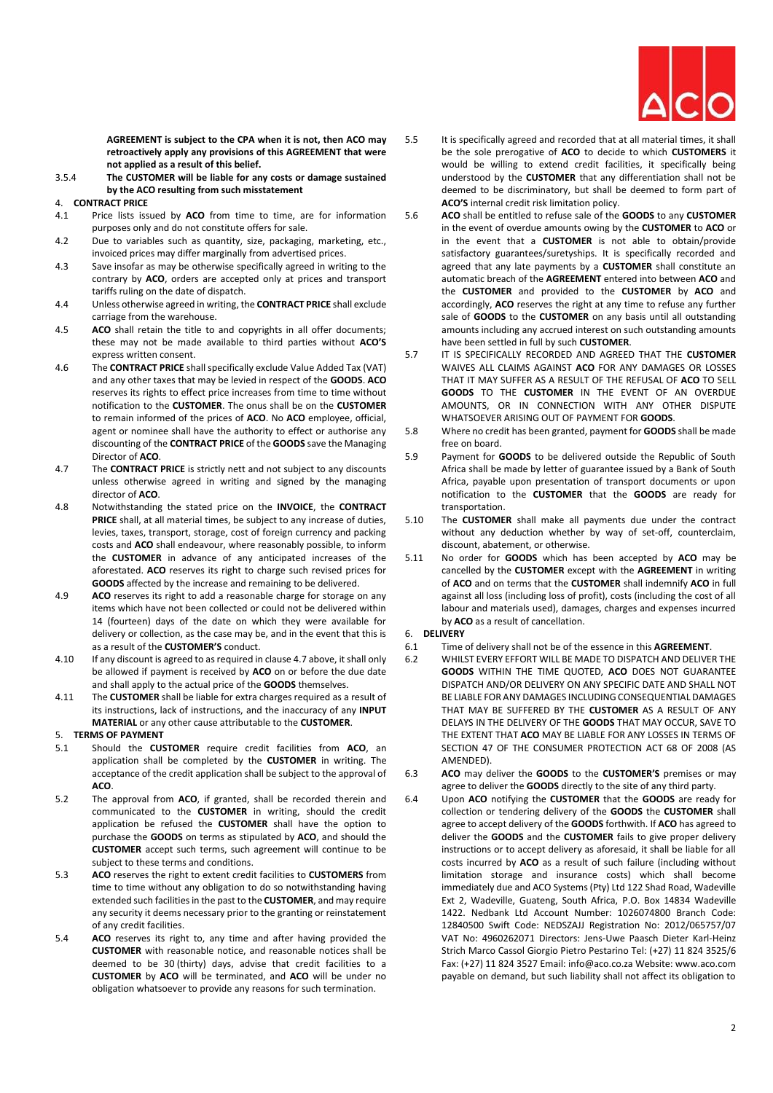

**AGREEMENT is subject to the CPA when it is not, then ACO may retroactively apply any provisions of this AGREEMENT that were not applied as a result of this belief.** 

3.5.4 **The CUSTOMER will be liable for any costs or damage sustained by the ACO resulting from such misstatement**

# 4. **CONTRACT PRICE**

- 4.1 Price lists issued by **ACO** from time to time, are for information purposes only and do not constitute offers for sale.
- 4.2 Due to variables such as quantity, size, packaging, marketing, etc., invoiced prices may differ marginally from advertised prices.
- 4.3 Save insofar as may be otherwise specifically agreed in writing to the contrary by **ACO**, orders are accepted only at prices and transport tariffs ruling on the date of dispatch.
- 4.4 Unless otherwise agreed in writing, the **CONTRACT PRICE** shall exclude carriage from the warehouse.
- 4.5 **ACO** shall retain the title to and copyrights in all offer documents; these may not be made available to third parties without **ACO'S**  express written consent.
- 4.6 The **CONTRACT PRICE** shall specifically exclude Value Added Tax (VAT) and any other taxes that may be levied in respect of the **GOODS**. **ACO**  reserves its rights to effect price increases from time to time without notification to the **CUSTOMER**. The onus shall be on the **CUSTOMER**  to remain informed of the prices of **ACO**. No **ACO** employee, official, agent or nominee shall have the authority to effect or authorise any discounting of the **CONTRACT PRICE** of the **GOODS** save the Managing Director of **ACO**.
- <span id="page-1-0"></span>4.7 The **CONTRACT PRICE** is strictly nett and not subject to any discounts unless otherwise agreed in writing and signed by the managing director of **ACO**.
- 4.8 Notwithstanding the stated price on the **INVOICE**, the **CONTRACT PRICE** shall, at all material times, be subject to any increase of duties, levies, taxes, transport, storage, cost of foreign currency and packing costs and **ACO** shall endeavour, where reasonably possible, to inform the **CUSTOMER** in advance of any anticipated increases of the aforestated. **ACO** reserves its right to charge such revised prices for **GOODS** affected by the increase and remaining to be delivered.
- 4.9 **ACO** reserves its right to add a reasonable charge for storage on any items which have not been collected or could not be delivered within 14 (fourteen) days of the date on which they were available for delivery or collection, as the case may be, and in the event that this is as a result of the **CUSTOMER'S** conduct.
- 4.10 If any discount is agreed to as required in claus[e 4.7](#page-1-0) above, it shall only be allowed if payment is received by **ACO** on or before the due date and shall apply to the actual price of the **GOODS** themselves.
- 4.11 The **CUSTOMER** shall be liable for extra charges required as a result of its instructions, lack of instructions, and the inaccuracy of any **INPUT MATERIAL** or any other cause attributable to the **CUSTOMER**.

# 5. **TERMS OF PAYMENT**

- 5.1 Should the **CUSTOMER** require credit facilities from **ACO**, an application shall be completed by the **CUSTOMER** in writing. The acceptance of the credit application shall be subject to the approval of **ACO**.
- 5.2 The approval from **ACO**, if granted, shall be recorded therein and communicated to the **CUSTOMER** in writing, should the credit application be refused the **CUSTOMER** shall have the option to purchase the **GOODS** on terms as stipulated by **ACO**, and should the **CUSTOMER** accept such terms, such agreement will continue to be subject to these terms and conditions.
- 5.3 **ACO** reserves the right to extent credit facilities to **CUSTOMERS** from time to time without any obligation to do so notwithstanding having extended such facilities in the past to the **CUSTOMER**, and may require any security it deems necessary prior to the granting or reinstatement of any credit facilities.
- 5.4 **ACO** reserves its right to, any time and after having provided the **CUSTOMER** with reasonable notice, and reasonable notices shall be deemed to be 30 (thirty) days, advise that credit facilities to a **CUSTOMER** by **ACO** will be terminated, and **ACO** will be under no obligation whatsoever to provide any reasons for such termination.
- 5.5 It is specifically agreed and recorded that at all material times, it shall be the sole prerogative of **ACO** to decide to which **CUSTOMERS** it would be willing to extend credit facilities, it specifically being understood by the **CUSTOMER** that any differentiation shall not be deemed to be discriminatory, but shall be deemed to form part of **ACO'S** internal credit risk limitation policy.
- 5.6 **ACO** shall be entitled to refuse sale of the **GOODS** to any **CUSTOMER**  in the event of overdue amounts owing by the **CUSTOMER** to **ACO** or in the event that a **CUSTOMER** is not able to obtain/provide satisfactory guarantees/suretyships. It is specifically recorded and agreed that any late payments by a **CUSTOMER** shall constitute an automatic breach of the **AGREEMENT** entered into between **ACO** and the **CUSTOMER** and provided to the **CUSTOMER** by **ACO** and accordingly, **ACO** reserves the right at any time to refuse any further sale of **GOODS** to the **CUSTOMER** on any basis until all outstanding amounts including any accrued interest on such outstanding amounts have been settled in full by such **CUSTOMER**.
- 5.7 IT IS SPECIFICALLY RECORDED AND AGREED THAT THE **CUSTOMER**  WAIVES ALL CLAIMS AGAINST **ACO** FOR ANY DAMAGES OR LOSSES THAT IT MAY SUFFER AS A RESULT OF THE REFUSAL OF **ACO** TO SELL **GOODS** TO THE **CUSTOMER** IN THE EVENT OF AN OVERDUE AMOUNTS, OR IN CONNECTION WITH ANY OTHER DISPUTE WHATSOEVER ARISING OUT OF PAYMENT FOR **GOODS**.
- 5.8 Where no credit has been granted, payment for **GOODS** shall be made free on board.
- 5.9 Payment for **GOODS** to be delivered outside the Republic of South Africa shall be made by letter of guarantee issued by a Bank of South Africa, payable upon presentation of transport documents or upon notification to the **CUSTOMER** that the **GOODS** are ready for transportation.
- 5.10 The **CUSTOMER** shall make all payments due under the contract without any deduction whether by way of set-off, counterclaim, discount, abatement, or otherwise.
- 5.11 No order for **GOODS** which has been accepted by **ACO** may be cancelled by the **CUSTOMER** except with the **AGREEMENT** in writing of **ACO** and on terms that the **CUSTOMER** shall indemnify **ACO** in full against all loss (including loss of profit), costs (including the cost of all labour and materials used), damages, charges and expenses incurred by **ACO** as a result of cancellation.

#### 6. **DELIVERY**

- 6.1 Time of delivery shall not be of the essence in this **AGREEMENT**.
- 6.2 WHILST EVERY EFFORT WILL BE MADE TO DISPATCH AND DELIVER THE **GOODS** WITHIN THE TIME QUOTED, **ACO** DOES NOT GUARANTEE DISPATCH AND/OR DELIVERY ON ANY SPECIFIC DATE AND SHALL NOT BE LIABLE FOR ANY DAMAGES INCLUDING CONSEQUENTIAL DAMAGES THAT MAY BE SUFFERED BY THE **CUSTOMER** AS A RESULT OF ANY DELAYS IN THE DELIVERY OF THE **GOODS** THAT MAY OCCUR, SAVE TO THE EXTENT THAT **ACO** MAY BE LIABLE FOR ANY LOSSES IN TERMS OF SECTION 47 OF THE CONSUMER PROTECTION ACT 68 OF 2008 (AS AMENDED).
- 6.3 **ACO** may deliver the **GOODS** to the **CUSTOMER'S** premises or may agree to deliver the **GOODS** directly to the site of any third party.
- <span id="page-1-1"></span>6.4 Upon **ACO** notifying the **CUSTOMER** that the **GOODS** are ready for collection or tendering delivery of the **GOODS** the **CUSTOMER** shall agree to accept delivery of the **GOODS** forthwith. If **ACO** has agreed to deliver the **GOODS** and the **CUSTOMER** fails to give proper delivery instructions or to accept delivery as aforesaid, it shall be liable for all costs incurred by **ACO** as a result of such failure (including without limitation storage and insurance costs) which shall become immediately due and ACO Systems (Pty) Ltd 122 Shad Road, Wadeville Ext 2, Wadeville, Guateng, South Africa, P.O. Box 14834 Wadeville 1422. Nedbank Ltd Account Number: 1026074800 Branch Code: 12840500 Swift Code: NEDSZAJJ Registration No: 2012/065757/07 VAT No: 4960262071 Directors: Jens-Uwe Paasch Dieter Karl-Heinz Strich Marco Cassol Giorgio Pietro Pestarino Tel: (+27) 11 824 3525/6 Fax: (+27) 11 824 3527 Email: info@aco.co.za Website: www.aco.com payable on demand, but such liability shall not affect its obligation to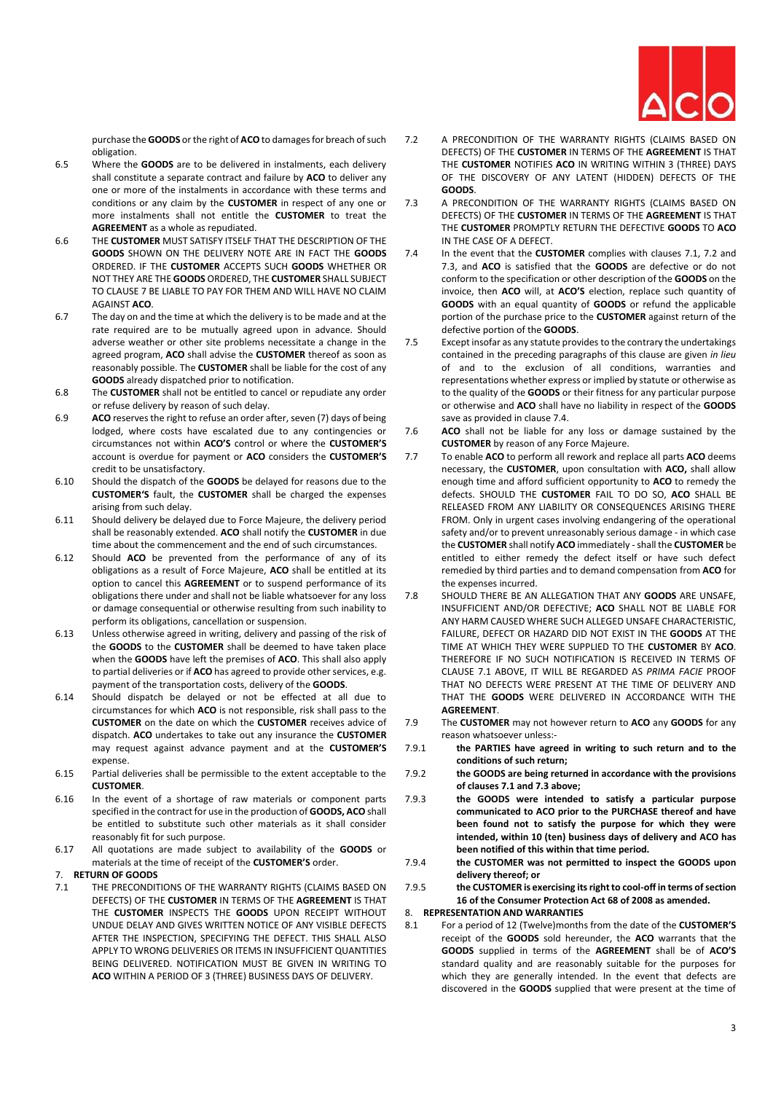

purchase the **GOODS** or the right of **ACO** to damages for breach of such obligation.

- 6.5 Where the **GOODS** are to be delivered in instalments, each delivery shall constitute a separate contract and failure by **ACO** to deliver any one or more of the instalments in accordance with these terms and conditions or any claim by the **CUSTOMER** in respect of any one or more instalments shall not entitle the **CUSTOMER** to treat the **AGREEMENT** as a whole as repudiated.
- 6.6 THE **CUSTOMER** MUST SATISFY ITSELF THAT THE DESCRIPTION OF THE **GOODS** SHOWN ON THE DELIVERY NOTE ARE IN FACT THE **GOODS**  ORDERED. IF THE **CUSTOMER** ACCEPTS SUCH **GOODS** WHETHER OR NOT THEY ARE THE **GOODS** ORDERED, THE **CUSTOMER** SHALL SUBJECT TO CLAUSE [7](#page-2-0) BE LIABLE TO PAY FOR THEM AND WILL HAVE NO CLAIM AGAINST **ACO**.
- 6.7 The day on and the time at which the delivery is to be made and at the rate required are to be mutually agreed upon in advance. Should adverse weather or other site problems necessitate a change in the agreed program, **ACO** shall advise the **CUSTOMER** thereof as soon as reasonably possible. The **CUSTOMER** shall be liable for the cost of any **GOODS** already dispatched prior to notification.
- 6.8 The **CUSTOMER** shall not be entitled to cancel or repudiate any order or refuse delivery by reason of such delay.
- 6.9 **ACO** reserves the right to refuse an order after, seven (7) days of being lodged, where costs have escalated due to any contingencies or circumstances not within **ACO'S** control or where the **CUSTOMER'S**  account is overdue for payment or **ACO** considers the **CUSTOMER'S**  credit to be unsatisfactory.
- 6.10 Should the dispatch of the **GOODS** be delayed for reasons due to the **CUSTOMER'S** fault, the **CUSTOMER** shall be charged the expenses arising from such delay.
- 6.11 Should delivery be delayed due to Force Majeure, the delivery period shall be reasonably extended. **ACO** shall notify the **CUSTOMER** in due time about the commencement and the end of such circumstances.
- 6.12 Should **ACO** be prevented from the performance of any of its obligations as a result of Force Majeure, **ACO** shall be entitled at its option to cancel this **AGREEMENT** or to suspend performance of its obligations there under and shall not be liable whatsoever for any loss or damage consequential or otherwise resulting from such inability to perform its obligations, cancellation or suspension.
- 6.13 Unless otherwise agreed in writing, delivery and passing of the risk of the **GOODS** to the **CUSTOMER** shall be deemed to have taken place when the **GOODS** have left the premises of **ACO**. This shall also apply to partial deliveries or if **ACO** has agreed to provide other services, e.g. payment of the transportation costs, delivery of the **GOODS**.
- 6.14 Should dispatch be delayed or not be effected at all due to circumstances for which **ACO** is not responsible, risk shall pass to the **CUSTOMER** on the date on which the **CUSTOMER** receives advice of dispatch. **ACO** undertakes to take out any insurance the **CUSTOMER**  may request against advance payment and at the **CUSTOMER'S**  expense.
- 6.15 Partial deliveries shall be permissible to the extent acceptable to the **CUSTOMER**.
- 6.16 In the event of a shortage of raw materials or component parts specified in the contract for use in the production of **GOODS, ACO** shall be entitled to substitute such other materials as it shall consider reasonably fit for such purpose.
- 6.17 All quotations are made subject to availability of the **GOODS** or materials at the time of receipt of the **CUSTOMER'S** order.
- <span id="page-2-0"></span>7. **RETURN OF GOODS**
- <span id="page-2-1"></span>7.1 THE PRECONDITIONS OF THE WARRANTY RIGHTS (CLAIMS BASED ON DEFECTS) OF THE **CUSTOMER** IN TERMS OF THE **AGREEMENT** IS THAT THE **CUSTOMER** INSPECTS THE **GOODS** UPON RECEIPT WITHOUT UNDUE DELAY AND GIVES WRITTEN NOTICE OF ANY VISIBLE DEFECTS AFTER THE INSPECTION, SPECIFYING THE DEFECT. THIS SHALL ALSO APPLY TO WRONG DELIVERIES OR ITEMS IN INSUFFICIENT QUANTITIES BEING DELIVERED. NOTIFICATION MUST BE GIVEN IN WRITING TO **ACO** WITHIN A PERIOD OF 3 (THREE) BUSINESS DAYS OF DELIVERY.
- <span id="page-2-2"></span>7.2 A PRECONDITION OF THE WARRANTY RIGHTS (CLAIMS BASED ON DEFECTS) OF THE **CUSTOMER** IN TERMS OF THE **AGREEMENT** IS THAT THE **CUSTOMER** NOTIFIES **ACO** IN WRITING WITHIN 3 (THREE) DAYS OF THE DISCOVERY OF ANY LATENT (HIDDEN) DEFECTS OF THE **GOODS**.
- <span id="page-2-3"></span>7.3 A PRECONDITION OF THE WARRANTY RIGHTS (CLAIMS BASED ON DEFECTS) OF THE **CUSTOMER** IN TERMS OF THE **AGREEMENT** IS THAT THE **CUSTOMER** PROMPTLY RETURN THE DEFECTIVE **GOODS** TO **ACO**  IN THE CASE OF A DEFECT.
- <span id="page-2-4"></span>7.4 In the event that the **CUSTOMER** complies with clauses [7.1,](#page-2-1) [7.2](#page-2-2) and [7.3,](#page-2-3) and **ACO** is satisfied that the **GOODS** are defective or do not conform to the specification or other description of the **GOODS** on the invoice, then **ACO** will, at **ACO'S** election, replace such quantity of **GOODS** with an equal quantity of **GOODS** or refund the applicable portion of the purchase price to the **CUSTOMER** against return of the defective portion of the **GOODS**.
- 7.5 Except insofar as any statute provides to the contrary the undertakings contained in the preceding paragraphs of this clause are given *in lieu*  of and to the exclusion of all conditions, warranties and representations whether express or implied by statute or otherwise as to the quality of the **GOODS** or their fitness for any particular purpose or otherwise and **ACO** shall have no liability in respect of the **GOODS**  save as provided in claus[e 7.4.](#page-2-4)
- 7.6 **ACO** shall not be liable for any loss or damage sustained by the **CUSTOMER** by reason of any Force Majeure.
- 7.7 To enable **ACO** to perform all rework and replace all parts **ACO** deems necessary, the **CUSTOMER**, upon consultation with **ACO,** shall allow enough time and afford sufficient opportunity to **ACO** to remedy the defects. SHOULD THE **CUSTOMER** FAIL TO DO SO, **ACO** SHALL BE RELEASED FROM ANY LIABILITY OR CONSEQUENCES ARISING THERE FROM. Only in urgent cases involving endangering of the operational safety and/or to prevent unreasonably serious damage - in which case the **CUSTOMER** shall notify **ACO** immediately -shall the **CUSTOMER** be entitled to either remedy the defect itself or have such defect remedied by third parties and to demand compensation from **ACO** for the expenses incurred.
- 7.8 SHOULD THERE BE AN ALLEGATION THAT ANY **GOODS** ARE UNSAFE, INSUFFICIENT AND/OR DEFECTIVE; **ACO** SHALL NOT BE LIABLE FOR ANY HARM CAUSED WHERE SUCH ALLEGED UNSAFE CHARACTERISTIC, FAILURE, DEFECT OR HAZARD DID NOT EXIST IN THE **GOODS** AT THE TIME AT WHICH THEY WERE SUPPLIED TO THE **CUSTOMER** BY **ACO**. THEREFORE IF NO SUCH NOTIFICATION IS RECEIVED IN TERMS OF CLAUSE [7.1](#page-2-1) ABOVE, IT WILL BE REGARDED AS *PRIMA FACIE* PROOF THAT NO DEFECTS WERE PRESENT AT THE TIME OF DELIVERY AND THAT THE **GOODS** WERE DELIVERED IN ACCORDANCE WITH THE **AGREEMENT**.
- 7.9 The **CUSTOMER** may not however return to **ACO** any **GOODS** for any reason whatsoever unless:-
- 7.9.1 **the PARTIES have agreed in writing to such return and to the conditions of such return;**
- 7.9.2 **the GOODS are being returned in accordance with the provisions of clause[s 7.1](#page-2-1) an[d 7.3](#page-2-3) above;**
- 7.9.3 **the GOODS were intended to satisfy a particular purpose communicated to ACO prior to the PURCHASE thereof and have been found not to satisfy the purpose for which they were intended, within 10 (ten) business days of delivery and ACO has been notified of this within that time period.**
- 7.9.4 **the CUSTOMER was not permitted to inspect the GOODS upon delivery thereof; or**
- 7.9.5 **the CUSTOMER is exercising its right to cool-off in terms of section 16 of the Consumer Protection Act 68 of 2008 as amended.**
- 8. **REPRESENTATION AND WARRANTIES**
- <span id="page-2-5"></span>8.1 For a period of 12 (Twelve)months from the date of the **CUSTOMER'S**  receipt of the **GOODS** sold hereunder, the **ACO** warrants that the **GOODS** supplied in terms of the **AGREEMENT** shall be of **ACO'S**  standard quality and are reasonably suitable for the purposes for which they are generally intended. In the event that defects are discovered in the **GOODS** supplied that were present at the time of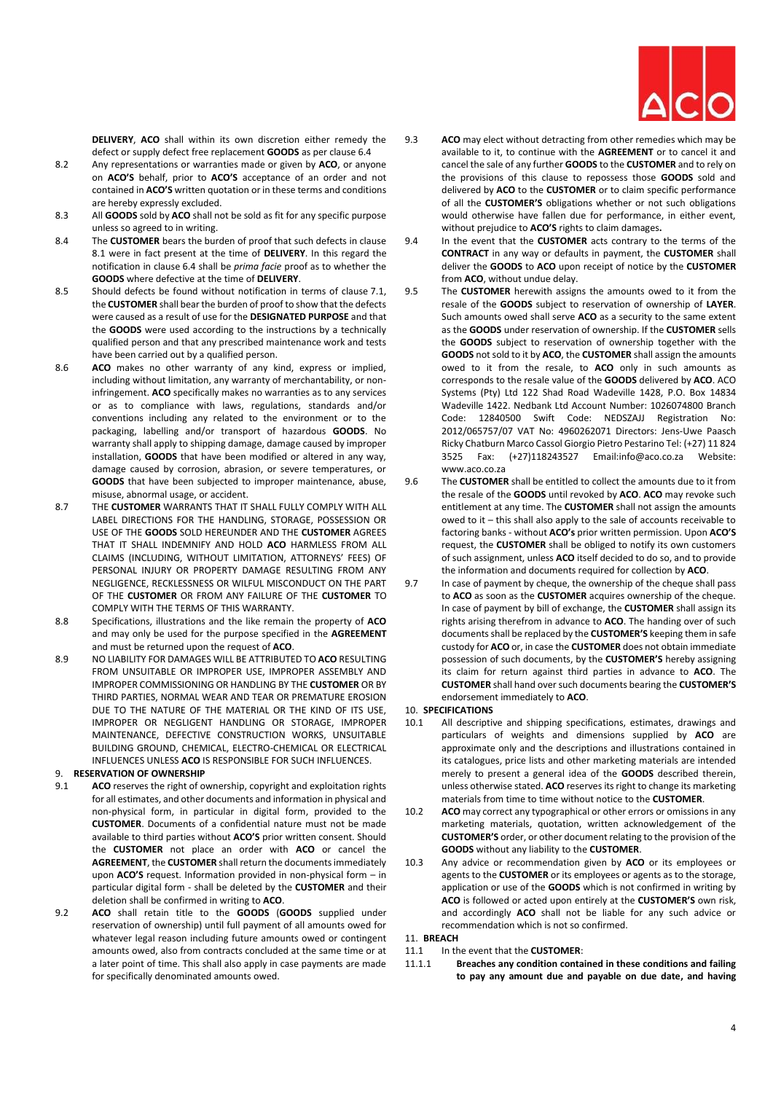

**DELIVERY**, **ACO** shall within its own discretion either remedy the defect or supply defect free replacement **GOODS** as per clause [6.4](#page-1-1)

- 8.2 Any representations or warranties made or given by **ACO**, or anyone on **ACO'S** behalf, prior to **ACO'S** acceptance of an order and not contained in **ACO'S** written quotation or in these terms and conditions are hereby expressly excluded.
- 8.3 All **GOODS** sold by **ACO** shall not be sold as fit for any specific purpose unless so agreed to in writing.
- 8.4 The **CUSTOMER** bears the burden of proof that such defects in clause [8.1](#page-2-5) were in fact present at the time of **DELIVERY**. In this regard the notification in clause [6.4](#page-1-1) shall be *prima facie* proof as to whether the **GOODS** where defective at the time of **DELIVERY**.
- 8.5 Should defects be found without notification in terms of clause [7.1,](#page-2-1)  the **CUSTOMER** shall bear the burden of proof to show that the defects were caused as a result of use for the **DESIGNATED PURPOSE** and that the **GOODS** were used according to the instructions by a technically qualified person and that any prescribed maintenance work and tests have been carried out by a qualified person.
- 8.6 **ACO** makes no other warranty of any kind, express or implied, including without limitation, any warranty of merchantability, or noninfringement. **ACO** specifically makes no warranties as to any services or as to compliance with laws, regulations, standards and/or conventions including any related to the environment or to the packaging, labelling and/or transport of hazardous **GOODS**. No warranty shall apply to shipping damage, damage caused by improper installation, **GOODS** that have been modified or altered in any way, damage caused by corrosion, abrasion, or severe temperatures, or **GOODS** that have been subjected to improper maintenance, abuse, misuse, abnormal usage, or accident.
- 8.7 THE **CUSTOMER** WARRANTS THAT IT SHALL FULLY COMPLY WITH ALL LABEL DIRECTIONS FOR THE HANDLING, STORAGE, POSSESSION OR USE OF THE **GOODS** SOLD HEREUNDER AND THE **CUSTOMER** AGREES THAT IT SHALL INDEMNIFY AND HOLD **ACO** HARMLESS FROM ALL CLAIMS (INCLUDING, WITHOUT LIMITATION, ATTORNEYS' FEES) OF PERSONAL INJURY OR PROPERTY DAMAGE RESULTING FROM ANY NEGLIGENCE, RECKLESSNESS OR WILFUL MISCONDUCT ON THE PART OF THE **CUSTOMER** OR FROM ANY FAILURE OF THE **CUSTOMER** TO COMPLY WITH THE TERMS OF THIS WARRANTY.
- 8.8 Specifications, illustrations and the like remain the property of **ACO**  and may only be used for the purpose specified in the **AGREEMENT** and must be returned upon the request of **ACO**.
- 8.9 NO LIABILITY FOR DAMAGES WILL BE ATTRIBUTED TO **ACO** RESULTING FROM UNSUITABLE OR IMPROPER USE, IMPROPER ASSEMBLY AND IMPROPER COMMISSIONING OR HANDLING BY THE **CUSTOMER** OR BY THIRD PARTIES, NORMAL WEAR AND TEAR OR PREMATURE EROSION DUE TO THE NATURE OF THE MATERIAL OR THE KIND OF ITS USE, IMPROPER OR NEGLIGENT HANDLING OR STORAGE, IMPROPER MAINTENANCE, DEFECTIVE CONSTRUCTION WORKS, UNSUITABLE BUILDING GROUND, CHEMICAL, ELECTRO-CHEMICAL OR ELECTRICAL INFLUENCES UNLESS **ACO** IS RESPONSIBLE FOR SUCH INFLUENCES.

# 9. **RESERVATION OF OWNERSHIP**

- 9.1 **ACO** reserves the right of ownership, copyright and exploitation rights for all estimates, and other documents and information in physical and non-physical form, in particular in digital form, provided to the **CUSTOMER**. Documents of a confidential nature must not be made available to third parties without **ACO'S** prior written consent. Should the **CUSTOMER** not place an order with **ACO** or cancel the **AGREEMENT**, the **CUSTOMER** shall return the documents immediately upon **ACO'S** request. Information provided in non-physical form – in particular digital form - shall be deleted by the **CUSTOMER** and their deletion shall be confirmed in writing to **ACO**.
- 9.2 **ACO** shall retain title to the **GOODS** (**GOODS** supplied under reservation of ownership) until full payment of all amounts owed for whatever legal reason including future amounts owed or contingent amounts owed, also from contracts concluded at the same time or at a later point of time. This shall also apply in case payments are made for specifically denominated amounts owed.
- 9.3 **ACO** may elect without detracting from other remedies which may be available to it, to continue with the **AGREEMENT** or to cancel it and cancel the sale of any further **GOODS** to the **CUSTOMER** and to rely on the provisions of this clause to repossess those **GOODS** sold and delivered by **ACO** to the **CUSTOMER** or to claim specific performance of all the **CUSTOMER'S** obligations whether or not such obligations would otherwise have fallen due for performance, in either event, without prejudice to **ACO'S** rights to claim damages**.**
- 9.4 In the event that the **CUSTOMER** acts contrary to the terms of the **CONTRACT** in any way or defaults in payment, the **CUSTOMER** shall deliver the **GOODS** to **ACO** upon receipt of notice by the **CUSTOMER**  from **ACO**, without undue delay.
- 9.5 The **CUSTOMER** herewith assigns the amounts owed to it from the resale of the **GOODS** subject to reservation of ownership of **LAYER**. Such amounts owed shall serve **ACO** as a security to the same extent as the **GOODS** under reservation of ownership. If the **CUSTOMER** sells the **GOODS** subject to reservation of ownership together with the **GOODS** not sold to it by **ACO**, the **CUSTOMER** shall assign the amounts owed to it from the resale, to **ACO** only in such amounts as corresponds to the resale value of the **GOODS** delivered by **ACO**. ACO Systems (Pty) Ltd 122 Shad Road Wadeville 1428, P.O. Box 14834 Wadeville 1422. Nedbank Ltd Account Number: 1026074800 Branch Code: 12840500 Swift Code: NEDSZAJJ Registration No: 2012/065757/07 VAT No: 4960262071 Directors: Jens-Uwe Paasch Ricky Chatburn Marco Cassol Giorgio Pietro Pestarino Tel: (+27) 11 824 3525 Fax: (+27)118243527 Email:info@aco.co.za Website: www.aco.co.za
- 9.6 The **CUSTOMER** shall be entitled to collect the amounts due to it from the resale of the **GOODS** until revoked by **ACO**. **ACO** may revoke such entitlement at any time. The **CUSTOMER** shall not assign the amounts owed to it – this shall also apply to the sale of accounts receivable to factoring banks - without **ACO's** prior written permission. Upon **ACO'S**  request, the **CUSTOMER** shall be obliged to notify its own customers of such assignment, unless **ACO** itself decided to do so, and to provide the information and documents required for collection by **ACO**.
- 9.7 In case of payment by cheque, the ownership of the cheque shall pass to **ACO** as soon as the **CUSTOMER** acquires ownership of the cheque. In case of payment by bill of exchange, the **CUSTOMER** shall assign its rights arising therefrom in advance to **ACO**. The handing over of such documents shall be replaced by the **CUSTOMER'S** keeping them in safe custody for **ACO** or, in case the **CUSTOMER** does not obtain immediate possession of such documents, by the **CUSTOMER'S** hereby assigning its claim for return against third parties in advance to **ACO**. The **CUSTOMER** shall hand over such documents bearing the **CUSTOMER'S**  endorsement immediately to **ACO**.

#### 10. **SPECIFICATIONS**

- 10.1 All descriptive and shipping specifications, estimates, drawings and particulars of weights and dimensions supplied by **ACO** are approximate only and the descriptions and illustrations contained in its catalogues, price lists and other marketing materials are intended merely to present a general idea of the **GOODS** described therein, unless otherwise stated. **ACO** reserves its right to change its marketing materials from time to time without notice to the **CUSTOMER**.
- 10.2 **ACO** may correct any typographical or other errors or omissions in any marketing materials, quotation, written acknowledgement of the **CUSTOMER'S** order, or other document relating to the provision of the **GOODS** without any liability to the **CUSTOMER**.
- 10.3 Any advice or recommendation given by **ACO** or its employees or agents to the **CUSTOMER** or its employees or agents as to the storage, application or use of the **GOODS** which is not confirmed in writing by **ACO** is followed or acted upon entirely at the **CUSTOMER'S** own risk, and accordingly **ACO** shall not be liable for any such advice or recommendation which is not so confirmed.

#### 11. **BREACH**

- 11.1 In the event that the **CUSTOMER**:
- 11.1.1 **Breaches any condition contained in these conditions and failing to pay any amount due and payable on due date, and having**